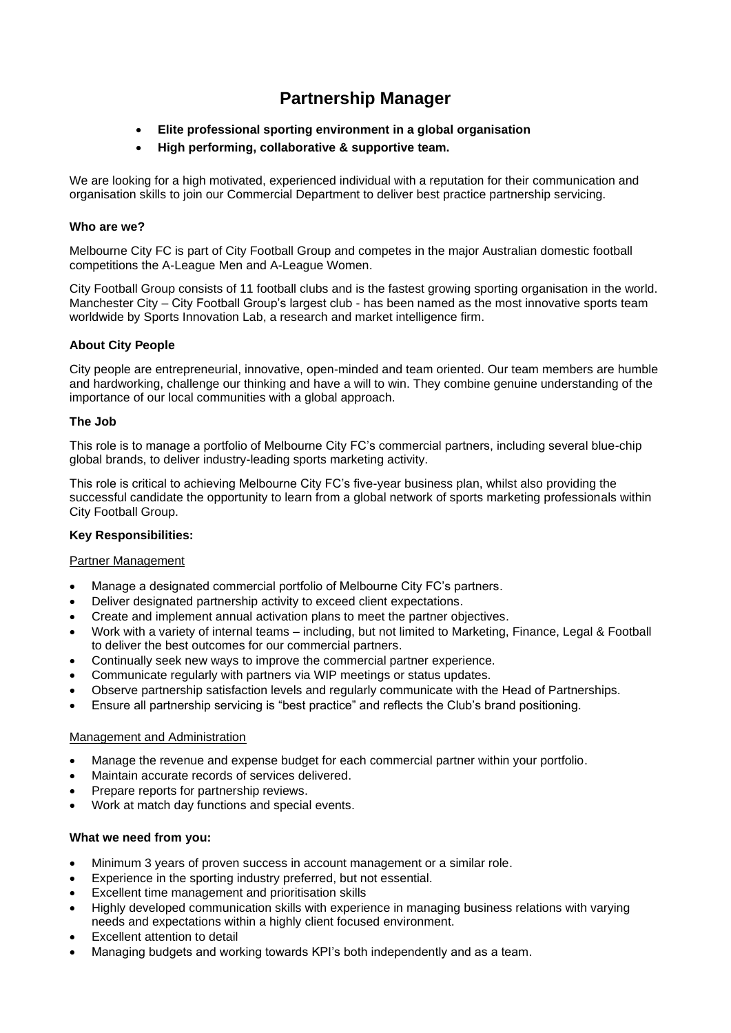# **Partnership Manager**

- **Elite professional sporting environment in a global organisation**
- **High performing, collaborative & supportive team.**

We are looking for a high motivated, experienced individual with a reputation for their communication and organisation skills to join our Commercial Department to deliver best practice partnership servicing.

# **Who are we?**

Melbourne City FC is part of City Football Group and competes in the major Australian domestic football competitions the A-League Men and A-League Women.

City Football Group consists of 11 football clubs and is the fastest growing sporting organisation in the world. Manchester City – City Football Group's largest club - has been named as the most innovative sports team worldwide by Sports Innovation Lab, a research and market intelligence firm.

# **About City People**

City people are entrepreneurial, innovative, open-minded and team oriented. Our team members are humble and hardworking, challenge our thinking and have a will to win. They combine genuine understanding of the importance of our local communities with a global approach.

# **The Job**

This role is to manage a portfolio of Melbourne City FC's commercial partners, including several blue-chip global brands, to deliver industry-leading sports marketing activity.

This role is critical to achieving Melbourne City FC's five-year business plan, whilst also providing the successful candidate the opportunity to learn from a global network of sports marketing professionals within City Football Group.

# **Key Responsibilities:**

## Partner Management

- Manage a designated commercial portfolio of Melbourne City FC's partners.
- Deliver designated partnership activity to exceed client expectations.
- Create and implement annual activation plans to meet the partner objectives.
- Work with a variety of internal teams including, but not limited to Marketing, Finance, Legal & Football to deliver the best outcomes for our commercial partners.
- Continually seek new ways to improve the commercial partner experience.
- Communicate regularly with partners via WIP meetings or status updates.
- Observe partnership satisfaction levels and regularly communicate with the Head of Partnerships.
- Ensure all partnership servicing is "best practice" and reflects the Club's brand positioning.

## Management and Administration

- Manage the revenue and expense budget for each commercial partner within your portfolio.
- Maintain accurate records of services delivered.
- Prepare reports for partnership reviews.
- Work at match day functions and special events.

## **What we need from you:**

- Minimum 3 years of proven success in account management or a similar role.
- Experience in the sporting industry preferred, but not essential.
- Excellent time management and prioritisation skills
- Highly developed communication skills with experience in managing business relations with varying needs and expectations within a highly client focused environment.
- Excellent attention to detail
- Managing budgets and working towards KPI's both independently and as a team.